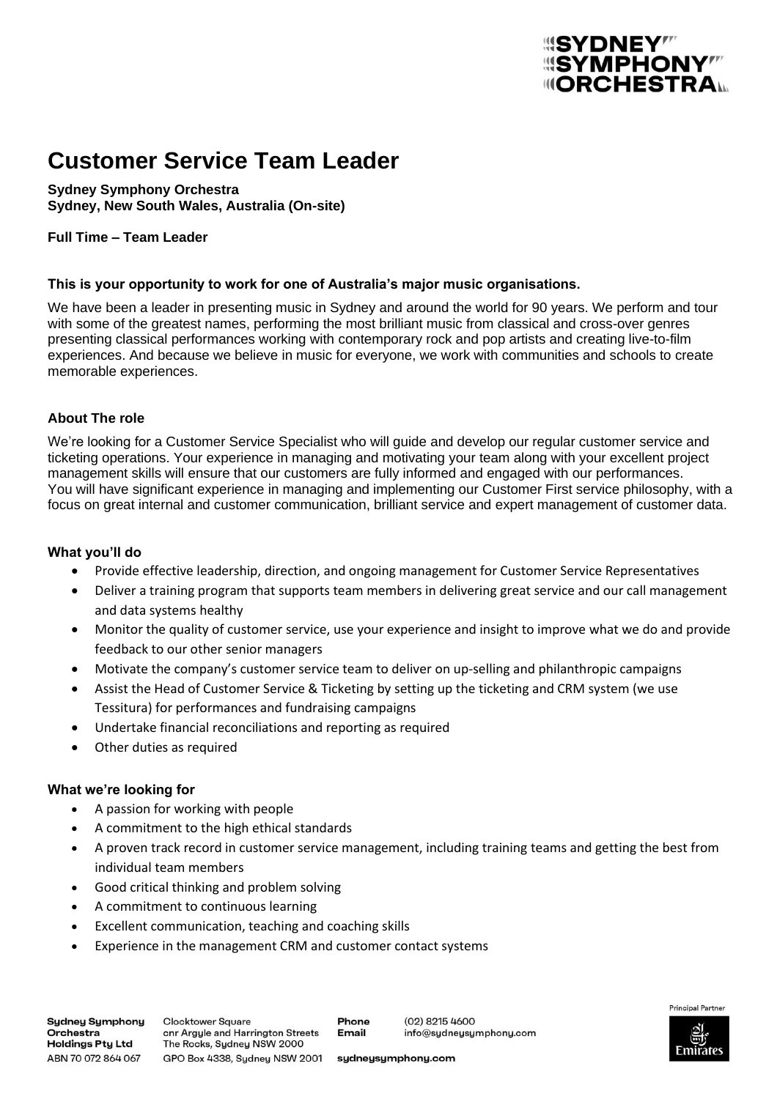# **Customer Service Team Leader**

**Sydney Symphony Orchestra Sydney, New South Wales, Australia (On-site)**

# **Full Time – Team Leader**

# **This is your opportunity to work for one of Australia's major music organisations.**

We have been a leader in presenting music in Sydney and around the world for 90 years. We perform and tour with some of the greatest names, performing the most brilliant music from classical and cross-over genres presenting classical performances working with contemporary rock and pop artists and creating live-to-film experiences. And because we believe in music for everyone, we work with communities and schools to create memorable experiences.

# **About The role**

We're looking for a Customer Service Specialist who will guide and develop our regular customer service and ticketing operations. Your experience in managing and motivating your team along with your excellent project management skills will ensure that our customers are fully informed and engaged with our performances. You will have significant experience in managing and implementing our Customer First service philosophy, with a focus on great internal and customer communication, brilliant service and expert management of customer data.

# **What you'll do**

- Provide effective leadership, direction, and ongoing management for Customer Service Representatives
- Deliver a training program that supports team members in delivering great service and our call management and data systems healthy
- Monitor the quality of customer service, use your experience and insight to improve what we do and provide feedback to our other senior managers
- Motivate the company's customer service team to deliver on up-selling and philanthropic campaigns
- Assist the Head of Customer Service & Ticketing by setting up the ticketing and CRM system (we use Tessitura) for performances and fundraising campaigns
- Undertake financial reconciliations and reporting as required
- Other duties as required

# **What we're looking for**

- A passion for working with people
- A commitment to the high ethical standards
- A proven track record in customer service management, including training teams and getting the best from individual team members
- Good critical thinking and problem solving
- A commitment to continuous learning
- Excellent communication, teaching and coaching skills
- Experience in the management CRM and customer contact systems



**SYMPHONY**" **IIIORCHESTRA**